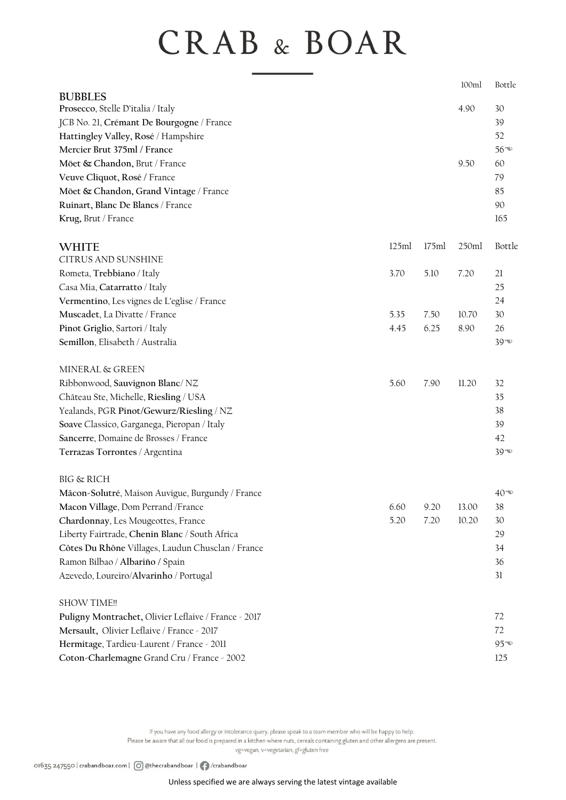## **CRAB & BOAR**

|                                                      |       |       | 100ml | Bottle             |
|------------------------------------------------------|-------|-------|-------|--------------------|
| <b>BUBBLES</b>                                       |       |       |       |                    |
| Prosecco, Stelle D'italia / Italy                    |       |       | 4.90  | 30                 |
| JCB No. 21, Crémant De Bourgogne / France            |       |       |       | 39                 |
| Hattingley Valley, Rosé / Hampshire                  |       |       |       | 52                 |
| Mercier Brut 375ml / France                          |       |       |       | $56^{\circledast}$ |
| Möet & Chandon, Brut / France                        |       |       | 9.50  | 60                 |
| Veuve Cliquot, Rosé / France                         |       |       |       | 79                 |
| Möet & Chandon, Grand Vintage / France               |       |       |       | 85                 |
| Ruinart, Blanc De Blancs / France                    |       |       |       | 90                 |
| Krug, Brut / France                                  |       |       |       | 165                |
| <b>WHITE</b>                                         | 125ml | 175ml | 250ml | Bottle             |
| <b>CITRUS AND SUNSHINE</b>                           |       |       |       |                    |
| Rometa, Trebbiano / Italy                            | 3.70  | 5.10  | 7.20  | 21                 |
| Casa Mia, Catarratto / Italy                         |       |       |       | 25                 |
| Vermentino, Les vignes de L'eglise / France          |       |       |       | 24                 |
| Muscadet, La Divatte / France                        | 5.35  | 7.50  | 10.70 | 30                 |
| Pinot Griglio, Sartori / Italy                       | 4.45  | 6.25  | 8.90  | 26                 |
| Semillon, Elisabeth / Australia                      |       |       |       | $39^{\circ}$       |
| MINERAL & GREEN                                      |       |       |       |                    |
| Ribbonwood, Sauvignon Blanc/NZ                       | 5.60  | 7.90  | 11.20 | 32                 |
| Château Ste, Michelle, Riesling / USA                |       |       |       | 35                 |
| Yealands, PGR Pinot/Gewurz/Riesling / NZ             |       |       |       | 38                 |
| Soave Classico, Garganega, Pieropan / Italy          |       |       |       | 39                 |
| Sancerre, Domaine de Brosses / France                |       |       |       | 42                 |
| Terrazas Torrontes / Argentina                       |       |       |       | $39 - 20$          |
| <b>BIG &amp; RICH</b>                                |       |       |       |                    |
| Mâcon-Solutré, Maison Auvigue, Burgundy / France     |       |       |       | 40 D               |
| Macon Village, Dom Perrand / France                  | 6.60  | 9.20  | 13.00 | 38                 |
| Chardonnay, Les Mougeottes, France                   | 5.20  | 7.20  | 10.20 | 30                 |
| Liberty Fairtrade, Chenin Blanc / South Africa       |       |       |       | 29                 |
| Côtes Du Rhône Villages, Laudun Chusclan / France    |       |       |       | 34                 |
| Ramon Bilbao / Albariño / Spain                      |       |       |       | 36                 |
| Azevedo, Loureiro/Alvarinho / Portugal               |       |       |       | 31                 |
| <b>SHOW TIME!!</b>                                   |       |       |       |                    |
| Puligny Montrachet, Olivier Leflaive / France - 2017 |       |       |       | 72                 |
| Mersault, Olivier Leflaive / France - 2017           |       |       |       | 72                 |
| Hermitage, Tardieu-Laurent / France - 2011           |       |       |       | $95^{\circ}$       |
| Coton-Charlemagne Grand Cru / France - 2002          |       |       |       | 125                |
|                                                      |       |       |       |                    |

If you have any food allergy or intolerance query, please speak to a team member who will be happy to help. Please be aware that all our food is prepared in a kitchen where nuts, cereals containing gluten and other allergens are present.

vg=vegan, v=vegetarian, gf=gluten free